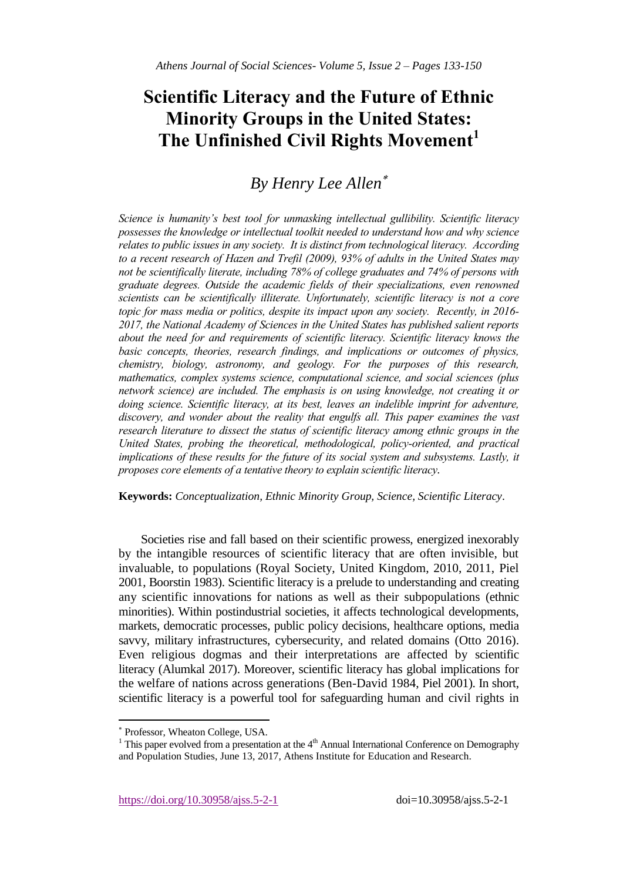# **Scientific Literacy and the Future of Ethnic Minority Groups in the United States: The Unfinished Civil Rights Movement<sup>1</sup>**

# *By Henry Lee Allen*

*Science is humanity's best tool for unmasking intellectual gullibility. Scientific literacy possesses the knowledge or intellectual toolkit needed to understand how and why science relates to public issues in any society. It is distinct from technological literacy. According to a recent research of Hazen and Trefil (2009), 93% of adults in the United States may not be scientifically literate, including 78% of college graduates and 74% of persons with graduate degrees. Outside the academic fields of their specializations, even renowned scientists can be scientifically illiterate. Unfortunately, scientific literacy is not a core topic for mass media or politics, despite its impact upon any society. Recently, in 2016- 2017, the National Academy of Sciences in the United States has published salient reports about the need for and requirements of scientific literacy. Scientific literacy knows the basic concepts, theories, research findings, and implications or outcomes of physics, chemistry, biology, astronomy, and geology. For the purposes of this research, mathematics, complex systems science, computational science, and social sciences (plus network science) are included. The emphasis is on using knowledge, not creating it or doing science. Scientific literacy, at its best, leaves an indelible imprint for adventure, discovery, and wonder about the reality that engulfs all. This paper examines the vast research literature to dissect the status of scientific literacy among ethnic groups in the United States, probing the theoretical, methodological, policy-oriented, and practical implications of these results for the future of its social system and subsystems. Lastly, it proposes core elements of a tentative theory to explain scientific literacy. 1*

**Keywords:** *Conceptualization, Ethnic Minority Group, Science, Scientific Literacy*.

Societies rise and fall based on their scientific prowess, energized inexorably by the intangible resources of scientific literacy that are often invisible, but invaluable, to populations (Royal Society, United Kingdom, 2010, 2011, Piel 2001, Boorstin 1983). Scientific literacy is a prelude to understanding and creating any scientific innovations for nations as well as their subpopulations (ethnic minorities). Within postindustrial societies, it affects technological developments, markets, democratic processes, public policy decisions, healthcare options, media savvy, military infrastructures, cybersecurity, and related domains (Otto 2016). Even religious dogmas and their interpretations are affected by scientific literacy (Alumkal 2017). Moreover, scientific literacy has global implications for the welfare of nations across generations (Ben-David 1984, Piel 2001). In short, scientific literacy is a powerful tool for safeguarding human and civil rights in

l

Professor, Wheaton College, USA.

<sup>&</sup>lt;sup>1</sup> This paper evolved from a presentation at the  $4<sup>th</sup>$  Annual International Conference on Demography and Population Studies, June 13, 2017, Athens Institute for Education and Research.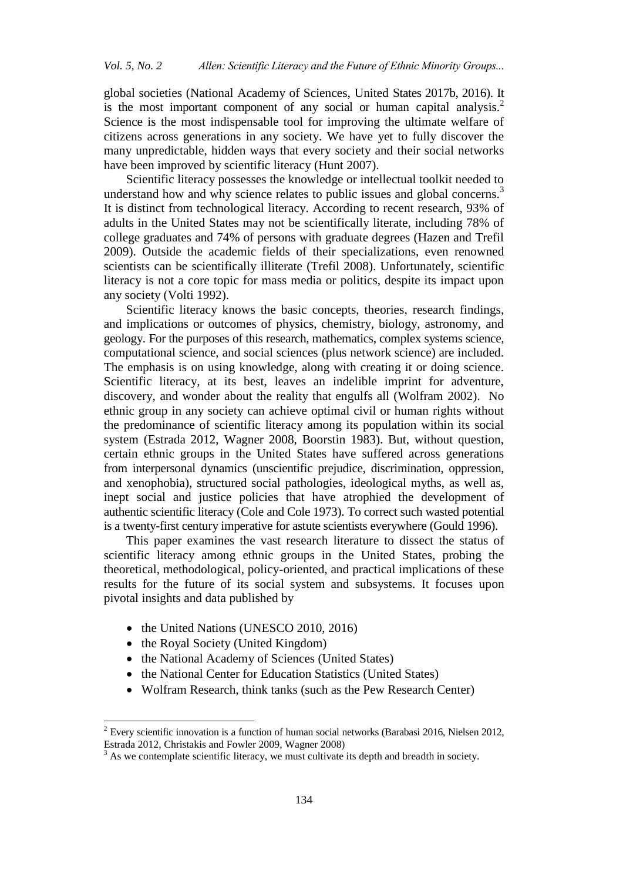global societies (National Academy of Sciences, United States 2017b, 2016). It is the most important component of any social or human capital analysis.<sup>2</sup> Science is the most indispensable tool for improving the ultimate welfare of citizens across generations in any society. We have yet to fully discover the many unpredictable, hidden ways that every society and their social networks have been improved by scientific literacy (Hunt 2007).

Scientific literacy possesses the knowledge or intellectual toolkit needed to understand how and why science relates to public issues and global concerns.<sup>3</sup> It is distinct from technological literacy. According to recent research, 93% of adults in the United States may not be scientifically literate, including 78% of college graduates and 74% of persons with graduate degrees (Hazen and Trefil 2009). Outside the academic fields of their specializations, even renowned scientists can be scientifically illiterate (Trefil 2008). Unfortunately, scientific literacy is not a core topic for mass media or politics, despite its impact upon any society (Volti 1992).

Scientific literacy knows the basic concepts, theories, research findings, and implications or outcomes of physics, chemistry, biology, astronomy, and geology. For the purposes of this research, mathematics, complex systems science, computational science, and social sciences (plus network science) are included. The emphasis is on using knowledge, along with creating it or doing science. Scientific literacy, at its best, leaves an indelible imprint for adventure, discovery, and wonder about the reality that engulfs all (Wolfram 2002). No ethnic group in any society can achieve optimal civil or human rights without the predominance of scientific literacy among its population within its social system (Estrada 2012, Wagner 2008, Boorstin 1983). But, without question, certain ethnic groups in the United States have suffered across generations from interpersonal dynamics (unscientific prejudice, discrimination, oppression, and xenophobia), structured social pathologies, ideological myths, as well as, inept social and justice policies that have atrophied the development of authentic scientific literacy (Cole and Cole 1973). To correct such wasted potential is a twenty-first century imperative for astute scientists everywhere (Gould 1996).

This paper examines the vast research literature to dissect the status of scientific literacy among ethnic groups in the United States, probing the theoretical, methodological, policy-oriented, and practical implications of these results for the future of its social system and subsystems. It focuses upon pivotal insights and data published by

- the United Nations (UNESCO 2010, 2016)
- the Royal Society (United Kingdom)

l

- the National Academy of Sciences (United States)
- the National Center for Education Statistics (United States)
- Wolfram Research, think tanks (such as the Pew Research Center)

 $2$  Every scientific innovation is a function of human social networks (Barabasi 2016, Nielsen 2012, Estrada 2012, Christakis and Fowler 2009, Wagner 2008)

 $3$  As we contemplate scientific literacy, we must cultivate its depth and breadth in society.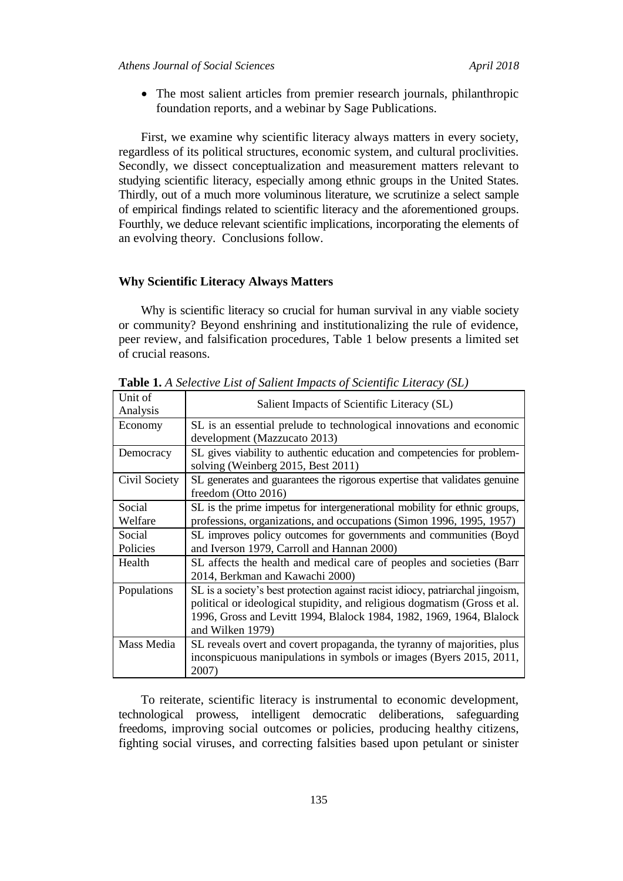The most salient articles from premier research journals, philanthropic foundation reports, and a webinar by Sage Publications.

First, we examine why scientific literacy always matters in every society, regardless of its political structures, economic system, and cultural proclivities. Secondly, we dissect conceptualization and measurement matters relevant to studying scientific literacy, especially among ethnic groups in the United States. Thirdly, out of a much more voluminous literature, we scrutinize a select sample of empirical findings related to scientific literacy and the aforementioned groups. Fourthly, we deduce relevant scientific implications, incorporating the elements of an evolving theory. Conclusions follow.

# **Why Scientific Literacy Always Matters**

Why is scientific literacy so crucial for human survival in any viable society or community? Beyond enshrining and institutionalizing the rule of evidence, peer review, and falsification procedures, Table 1 below presents a limited set of crucial reasons.

| Unit of<br>Analysis | Salient Impacts of Scientific Literacy (SL)                                                                                                                                                                                                             |
|---------------------|---------------------------------------------------------------------------------------------------------------------------------------------------------------------------------------------------------------------------------------------------------|
| Economy             | SL is an essential prelude to technological innovations and economic<br>development (Mazzucato 2013)                                                                                                                                                    |
| Democracy           | SL gives viability to authentic education and competencies for problem-<br>solving (Weinberg 2015, Best 2011)                                                                                                                                           |
| Civil Society       | SL generates and guarantees the rigorous expertise that validates genuine<br>freedom (Otto 2016)                                                                                                                                                        |
| Social<br>Welfare   | SL is the prime impetus for intergenerational mobility for ethnic groups,<br>professions, organizations, and occupations (Simon 1996, 1995, 1957)                                                                                                       |
| Social<br>Policies  | SL improves policy outcomes for governments and communities (Boyd<br>and Iverson 1979, Carroll and Hannan 2000)                                                                                                                                         |
| Health              | SL affects the health and medical care of peoples and societies (Barr<br>2014, Berkman and Kawachi 2000)                                                                                                                                                |
| Populations         | SL is a society's best protection against racist idiocy, patriarchal jingoism,<br>political or ideological stupidity, and religious dogmatism (Gross et al.<br>1996, Gross and Levitt 1994, Blalock 1984, 1982, 1969, 1964, Blalock<br>and Wilken 1979) |
| Mass Media          | SL reveals overt and covert propaganda, the tyranny of majorities, plus<br>inconspicuous manipulations in symbols or images (Byers 2015, 2011,<br>2007)                                                                                                 |

**Table 1.** *A Selective List of Salient Impacts of Scientific Literacy (SL)*

To reiterate, scientific literacy is instrumental to economic development, technological prowess, intelligent democratic deliberations, safeguarding freedoms, improving social outcomes or policies, producing healthy citizens, fighting social viruses, and correcting falsities based upon petulant or sinister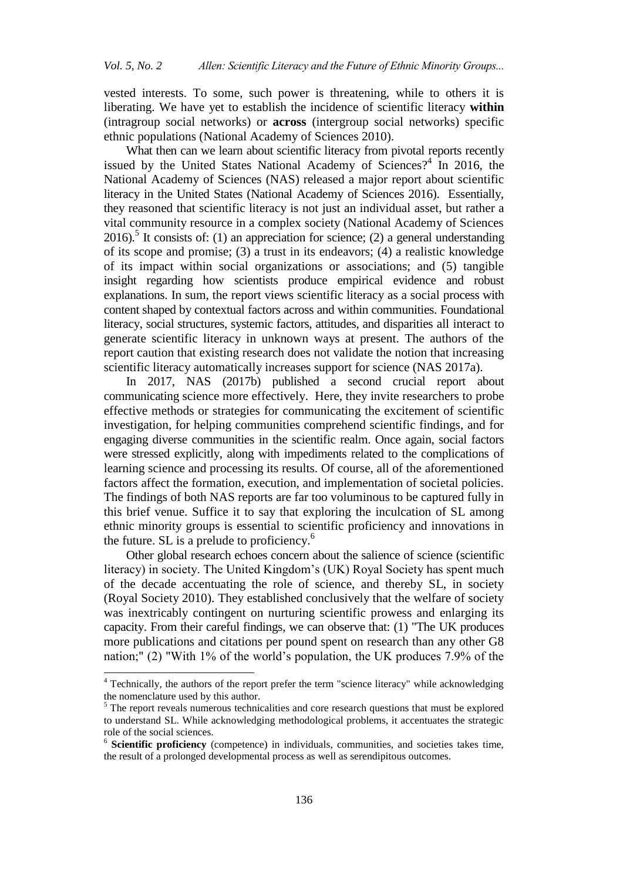vested interests. To some, such power is threatening, while to others it is liberating. We have yet to establish the incidence of scientific literacy **within** (intragroup social networks) or **across** (intergroup social networks) specific ethnic populations (National Academy of Sciences 2010).

What then can we learn about scientific literacy from pivotal reports recently issued by the United States National Academy of Sciences?<sup>4</sup> In 2016, the National Academy of Sciences (NAS) released a major report about scientific literacy in the United States (National Academy of Sciences 2016). Essentially, they reasoned that scientific literacy is not just an individual asset, but rather a vital community resource in a complex society (National Academy of Sciences 2016).<sup>5</sup> It consists of: (1) an appreciation for science; (2) a general understanding of its scope and promise; (3) a trust in its endeavors; (4) a realistic knowledge of its impact within social organizations or associations; and (5) tangible insight regarding how scientists produce empirical evidence and robust explanations. In sum, the report views scientific literacy as a social process with content shaped by contextual factors across and within communities. Foundational literacy, social structures, systemic factors, attitudes, and disparities all interact to generate scientific literacy in unknown ways at present. The authors of the report caution that existing research does not validate the notion that increasing scientific literacy automatically increases support for science (NAS 2017a).

In 2017, NAS (2017b) published a second crucial report about communicating science more effectively. Here, they invite researchers to probe effective methods or strategies for communicating the excitement of scientific investigation, for helping communities comprehend scientific findings, and for engaging diverse communities in the scientific realm. Once again, social factors were stressed explicitly, along with impediments related to the complications of learning science and processing its results. Of course, all of the aforementioned factors affect the formation, execution, and implementation of societal policies. The findings of both NAS reports are far too voluminous to be captured fully in this brief venue. Suffice it to say that exploring the inculcation of SL among ethnic minority groups is essential to scientific proficiency and innovations in the future. SL is a prelude to proficiency.<sup>6</sup>

Other global research echoes concern about the salience of science (scientific literacy) in society. The United Kingdom's (UK) Royal Society has spent much of the decade accentuating the role of science, and thereby SL, in society (Royal Society 2010). They established conclusively that the welfare of society was inextricably contingent on nurturing scientific prowess and enlarging its capacity. From their careful findings, we can observe that: (1) "The UK produces more publications and citations per pound spent on research than any other G8 nation;" (2) "With 1% of the world's population, the UK produces 7.9% of the

l

<sup>&</sup>lt;sup>4</sup> Technically, the authors of the report prefer the term "science literacy" while acknowledging the nomenclature used by this author.

<sup>&</sup>lt;sup>5</sup> The report reveals numerous technicalities and core research questions that must be explored to understand SL. While acknowledging methodological problems, it accentuates the strategic role of the social sciences.

<sup>6</sup> **Scientific proficiency** (competence) in individuals, communities, and societies takes time, the result of a prolonged developmental process as well as serendipitous outcomes.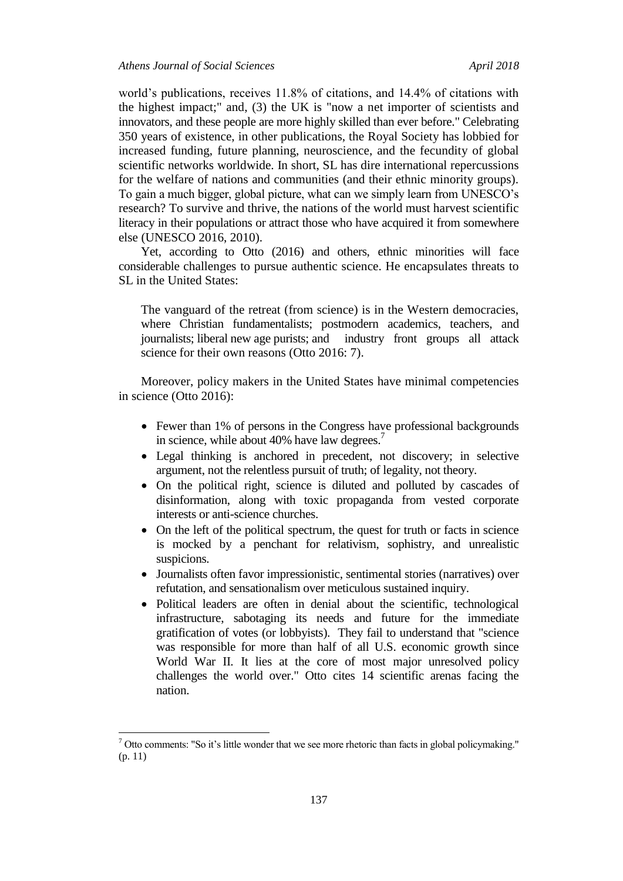world's publications, receives 11.8% of citations, and 14.4% of citations with the highest impact;" and, (3) the UK is "now a net importer of scientists and innovators, and these people are more highly skilled than ever before." Celebrating 350 years of existence, in other publications, the Royal Society has lobbied for increased funding, future planning, neuroscience, and the fecundity of global scientific networks worldwide. In short, SL has dire international repercussions for the welfare of nations and communities (and their ethnic minority groups). To gain a much bigger, global picture, what can we simply learn from UNESCO's research? To survive and thrive, the nations of the world must harvest scientific literacy in their populations or attract those who have acquired it from somewhere else (UNESCO 2016, 2010).

Yet, according to Otto (2016) and others, ethnic minorities will face considerable challenges to pursue authentic science. He encapsulates threats to SL in the United States:

The vanguard of the retreat (from science) is in the Western democracies, where Christian fundamentalists; postmodern academics, teachers, and journalists; liberal new age purists; and industry front groups all attack science for their own reasons (Otto 2016: 7).

Moreover, policy makers in the United States have minimal competencies in science (Otto 2016):

- Fewer than 1% of persons in the Congress have professional backgrounds in science, while about 40% have law degrees.<sup>7</sup>
- Legal thinking is anchored in precedent, not discovery; in selective argument, not the relentless pursuit of truth; of legality, not theory.
- On the political right, science is diluted and polluted by cascades of disinformation, along with toxic propaganda from vested corporate interests or anti-science churches.
- On the left of the political spectrum, the quest for truth or facts in science is mocked by a penchant for relativism, sophistry, and unrealistic suspicions.
- Journalists often favor impressionistic, sentimental stories (narratives) over refutation, and sensationalism over meticulous sustained inquiry.
- Political leaders are often in denial about the scientific, technological infrastructure, sabotaging its needs and future for the immediate gratification of votes (or lobbyists). They fail to understand that "science was responsible for more than half of all U.S. economic growth since World War II. It lies at the core of most major unresolved policy challenges the world over." Otto cites 14 scientific arenas facing the nation.

 $7$  Otto comments: "So it's little wonder that we see more rhetoric than facts in global policymaking." (p. 11)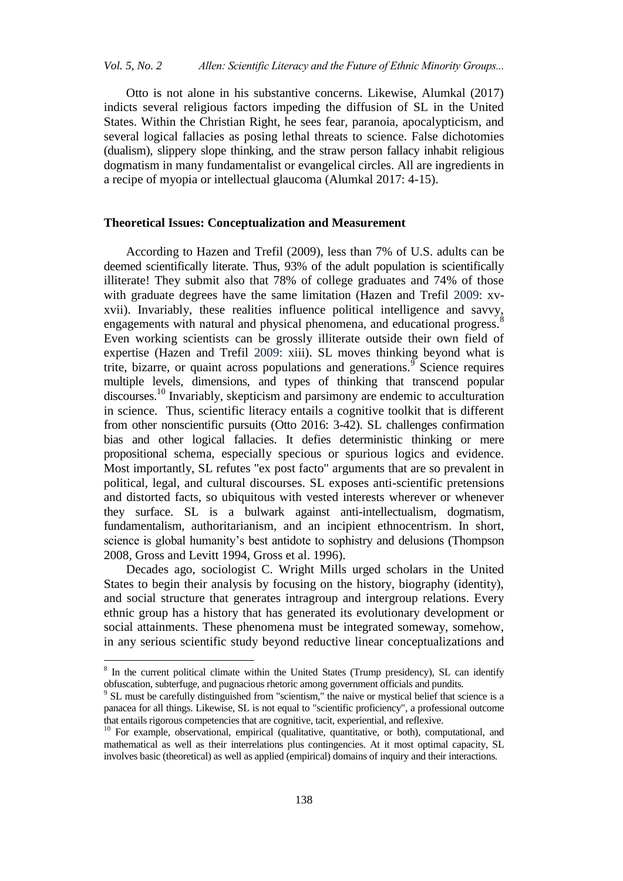Otto is not alone in his substantive concerns. Likewise, Alumkal (2017) indicts several religious factors impeding the diffusion of SL in the United States. Within the Christian Right, he sees fear, paranoia, apocalypticism, and several logical fallacies as posing lethal threats to science. False dichotomies (dualism), slippery slope thinking, and the straw person fallacy inhabit religious dogmatism in many fundamentalist or evangelical circles. All are ingredients in a recipe of myopia or intellectual glaucoma (Alumkal 2017: 4-15).

# **Theoretical Issues: Conceptualization and Measurement**

According to Hazen and Trefil (2009), less than 7% of U.S. adults can be deemed scientifically literate. Thus, 93% of the adult population is scientifically illiterate! They submit also that 78% of college graduates and 74% of those with graduate degrees have the same limitation (Hazen and Trefil 2009: xvxvii). Invariably, these realities influence political intelligence and savvy, engagements with natural and physical phenomena, and educational progress.<sup>8</sup> Even working scientists can be grossly illiterate outside their own field of expertise (Hazen and Trefil 2009: xiii). SL moves thinking beyond what is trite, bizarre, or quaint across populations and generations.<sup>9</sup> Science requires multiple levels, dimensions, and types of thinking that transcend popular discourses.<sup>10</sup> Invariably, skepticism and parsimony are endemic to acculturation in science. Thus, scientific literacy entails a cognitive toolkit that is different from other nonscientific pursuits (Otto 2016: 3-42). SL challenges confirmation bias and other logical fallacies. It defies deterministic thinking or mere propositional schema, especially specious or spurious logics and evidence. Most importantly, SL refutes "ex post facto" arguments that are so prevalent in political, legal, and cultural discourses. SL exposes anti-scientific pretensions and distorted facts, so ubiquitous with vested interests wherever or whenever they surface. SL is a bulwark against anti-intellectualism, dogmatism, fundamentalism, authoritarianism, and an incipient ethnocentrism. In short, science is global humanity's best antidote to sophistry and delusions (Thompson 2008, Gross and Levitt 1994, Gross et al. 1996).

Decades ago, sociologist C. Wright Mills urged scholars in the United States to begin their analysis by focusing on the history, biography (identity), and social structure that generates intragroup and intergroup relations. Every ethnic group has a history that has generated its evolutionary development or social attainments. These phenomena must be integrated someway, somehow, in any serious scientific study beyond reductive linear conceptualizations and

<sup>&</sup>lt;sup>8</sup> In the current political climate within the United States (Trump presidency), SL can identify obfuscation, subterfuge, and pugnacious rhetoric among government officials and pundits.

<sup>&</sup>lt;sup>9</sup> SL must be carefully distinguished from "scientism," the naive or mystical belief that science is a panacea for all things. Likewise, SL is not equal to "scientific proficiency", a professional outcome that entails rigorous competencies that are cognitive, tacit, experiential, and reflexive.

<sup>&</sup>lt;sup>10</sup> For example, observational, empirical (qualitative, quantitative, or both), computational, and mathematical as well as their interrelations plus contingencies. At it most optimal capacity, SL involves basic (theoretical) as well as applied (empirical) domains of inquiry and their interactions.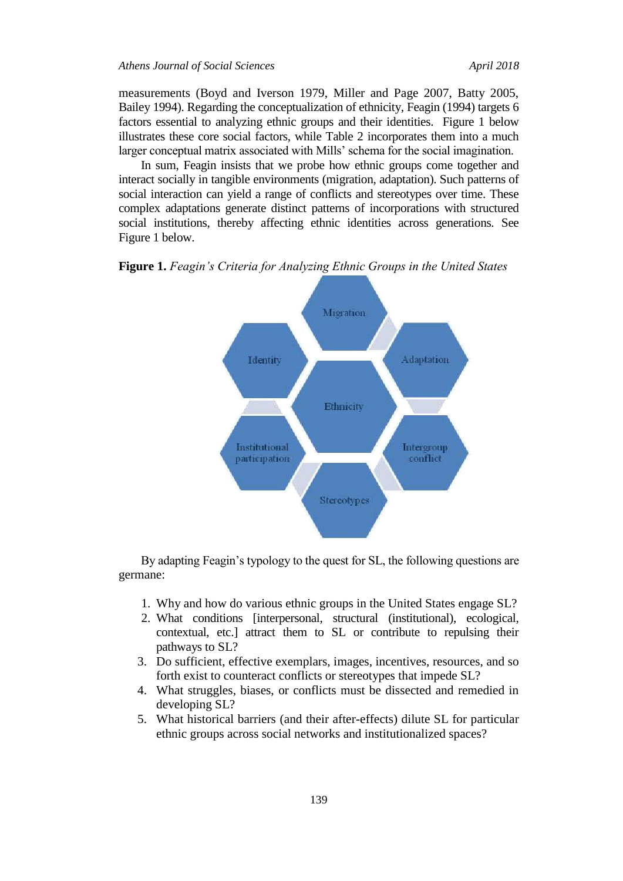measurements (Boyd and Iverson 1979, Miller and Page 2007, Batty 2005, Bailey 1994). Regarding the conceptualization of ethnicity, Feagin (1994) targets 6 factors essential to analyzing ethnic groups and their identities. Figure 1 below illustrates these core social factors, while Table 2 incorporates them into a much larger conceptual matrix associated with Mills' schema for the social imagination.

In sum, Feagin insists that we probe how ethnic groups come together and interact socially in tangible environments (migration, adaptation). Such patterns of social interaction can yield a range of conflicts and stereotypes over time. These complex adaptations generate distinct patterns of incorporations with structured social institutions, thereby affecting ethnic identities across generations. See Figure 1 below.

**Figure 1.** *Feagin's Criteria for Analyzing Ethnic Groups in the United States*



By adapting Feagin's typology to the quest for SL, the following questions are germane:

- 1. Why and how do various ethnic groups in the United States engage SL?
- 2. What conditions [interpersonal, structural (institutional), ecological, contextual, etc.] attract them to SL or contribute to repulsing their pathways to SL?
- 3. Do sufficient, effective exemplars, images, incentives, resources, and so forth exist to counteract conflicts or stereotypes that impede SL?
- 4. What struggles, biases, or conflicts must be dissected and remedied in developing SL?
- 5. What historical barriers (and their after-effects) dilute SL for particular ethnic groups across social networks and institutionalized spaces?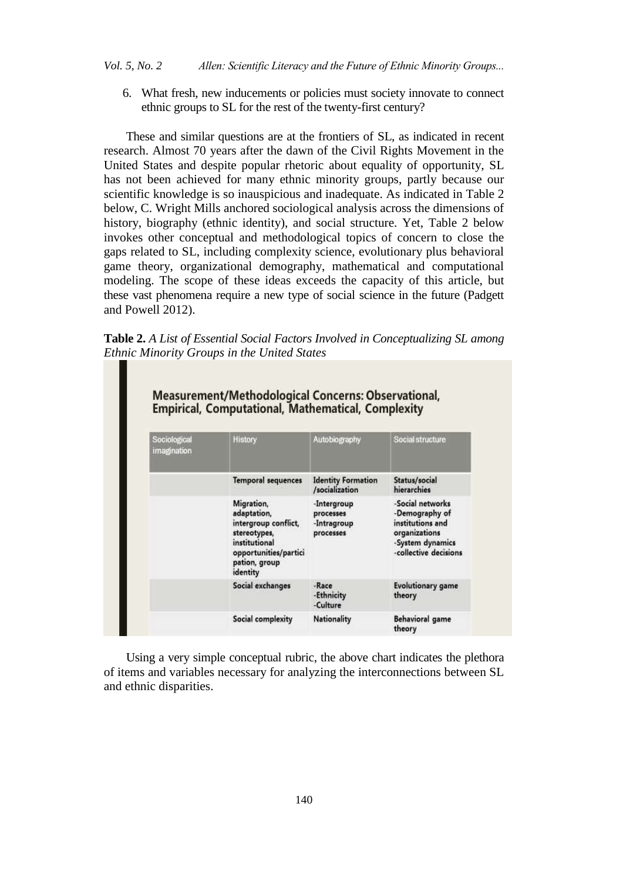6. What fresh, new inducements or policies must society innovate to connect ethnic groups to SL for the rest of the twenty-first century?

These and similar questions are at the frontiers of SL, as indicated in recent research. Almost 70 years after the dawn of the Civil Rights Movement in the United States and despite popular rhetoric about equality of opportunity, SL has not been achieved for many ethnic minority groups, partly because our scientific knowledge is so inauspicious and inadequate. As indicated in Table 2 below, C. Wright Mills anchored sociological analysis across the dimensions of history, biography (ethnic identity), and social structure. Yet, Table 2 below invokes other conceptual and methodological topics of concern to close the gaps related to SL, including complexity science, evolutionary plus behavioral game theory, organizational demography, mathematical and computational modeling. The scope of these ideas exceeds the capacity of this article, but these vast phenomena require a new type of social science in the future (Padgett and Powell 2012).

**Table 2.** *A List of Essential Social Factors Involved in Conceptualizing SL among Ethnic Minority Groups in the United States*

| Sociological<br>imagnation | History                                                                                                                                  | Autobiography                                        | Social structure                                                                                                     |
|----------------------------|------------------------------------------------------------------------------------------------------------------------------------------|------------------------------------------------------|----------------------------------------------------------------------------------------------------------------------|
|                            | <b>Temporal sequences</b>                                                                                                                | <b>Identity Formation</b><br>/socialization          | Status/social<br>hierarchies                                                                                         |
|                            | Migration,<br>adaptation,<br>intergroup conflict,<br>stereotypes,<br>institutional<br>opportunities/partici<br>pation, group<br>identity | -Intergroup<br>processes<br>-Intragroup<br>processes | -Social networks<br>-Demography of<br>institutions and<br>organizations<br>-System dynamics<br>-collective decisions |
|                            | Social exchanges                                                                                                                         | -Race<br>-Ethnicity<br>-Culture                      | <b>Evolutionary game</b><br>theory                                                                                   |
|                            | Social complexity                                                                                                                        | Nationality                                          | Behavioral game<br>theory                                                                                            |

Using a very simple conceptual rubric, the above chart indicates the plethora of items and variables necessary for analyzing the interconnections between SL and ethnic disparities.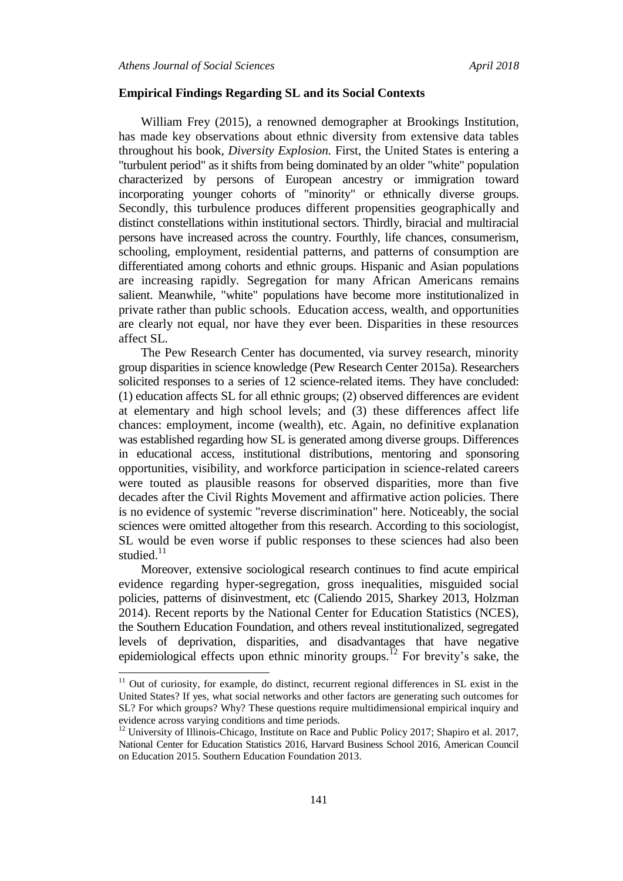l

#### **Empirical Findings Regarding SL and its Social Contexts**

William Frey (2015), a renowned demographer at Brookings Institution, has made key observations about ethnic diversity from extensive data tables throughout his book*, Diversity Explosion.* First, the United States is entering a "turbulent period" as it shifts from being dominated by an older "white" population characterized by persons of European ancestry or immigration toward incorporating younger cohorts of "minority" or ethnically diverse groups. Secondly, this turbulence produces different propensities geographically and distinct constellations within institutional sectors. Thirdly, biracial and multiracial persons have increased across the country. Fourthly, life chances, consumerism, schooling, employment, residential patterns, and patterns of consumption are differentiated among cohorts and ethnic groups. Hispanic and Asian populations are increasing rapidly. Segregation for many African Americans remains salient. Meanwhile, "white" populations have become more institutionalized in private rather than public schools. Education access, wealth, and opportunities are clearly not equal, nor have they ever been. Disparities in these resources affect SL.

The Pew Research Center has documented, via survey research, minority group disparities in science knowledge (Pew Research Center 2015a). Researchers solicited responses to a series of 12 science-related items. They have concluded: (1) education affects SL for all ethnic groups; (2) observed differences are evident at elementary and high school levels; and (3) these differences affect life chances: employment, income (wealth), etc. Again, no definitive explanation was established regarding how SL is generated among diverse groups. Differences in educational access, institutional distributions, mentoring and sponsoring opportunities, visibility, and workforce participation in science-related careers were touted as plausible reasons for observed disparities, more than five decades after the Civil Rights Movement and affirmative action policies. There is no evidence of systemic "reverse discrimination" here. Noticeably, the social sciences were omitted altogether from this research. According to this sociologist, SL would be even worse if public responses to these sciences had also been studied. $11$ 

Moreover, extensive sociological research continues to find acute empirical evidence regarding hyper-segregation, gross inequalities, misguided social policies, patterns of disinvestment, etc (Caliendo 2015, Sharkey 2013, Holzman 2014). Recent reports by the National Center for Education Statistics (NCES), the Southern Education Foundation, and others reveal institutionalized, segregated levels of deprivation, disparities, and disadvantages that have negative epidemiological effects upon ethnic minority groups.<sup>12</sup> For brevity's sake, the

 $11$  Out of curiosity, for example, do distinct, recurrent regional differences in SL exist in the United States? If yes, what social networks and other factors are generating such outcomes for SL? For which groups? Why? These questions require multidimensional empirical inquiry and evidence across varying conditions and time periods.

<sup>&</sup>lt;sup>12</sup> University of Illinois-Chicago, Institute on Race and Public Policy 2017; Shapiro et al. 2017, National Center for Education Statistics 2016, Harvard Business School 2016, American Council on Education 2015. Southern Education Foundation 2013.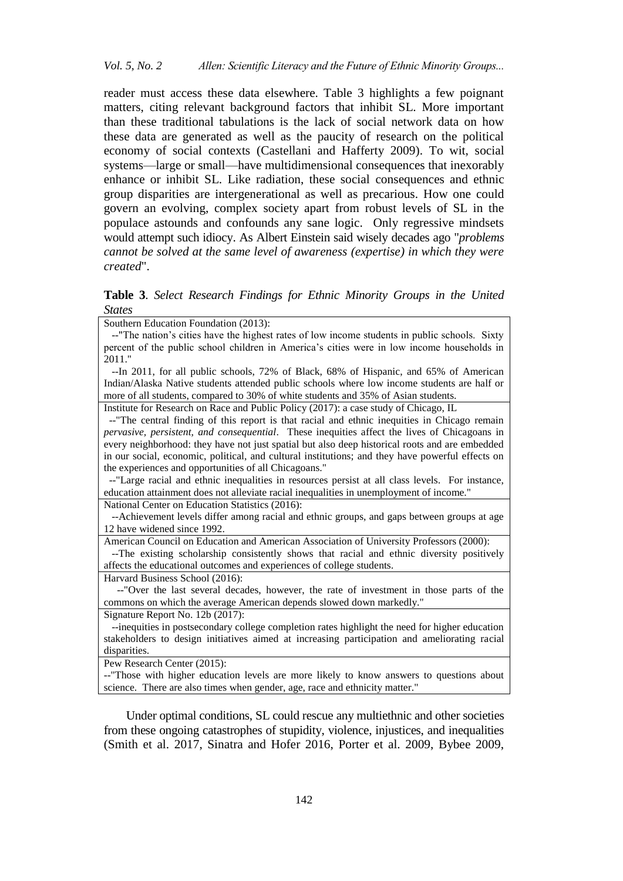reader must access these data elsewhere. Table 3 highlights a few poignant matters, citing relevant background factors that inhibit SL. More important than these traditional tabulations is the lack of social network data on how these data are generated as well as the paucity of research on the political economy of social contexts (Castellani and Hafferty 2009). To wit, social systems—large or small—have multidimensional consequences that inexorably enhance or inhibit SL. Like radiation, these social consequences and ethnic group disparities are intergenerational as well as precarious. How one could govern an evolving, complex society apart from robust levels of SL in the populace astounds and confounds any sane logic. Only regressive mindsets would attempt such idiocy. As Albert Einstein said wisely decades ago "*problems cannot be solved at the same level of awareness (expertise) in which they were created*".

**Table 3**. *Select Research Findings for Ethnic Minority Groups in the United States*

Southern Education Foundation (2013):

 --"The nation's cities have the highest rates of low income students in public schools. Sixty percent of the public school children in America's cities were in low income households in 2011."

 --In 2011, for all public schools, 72% of Black, 68% of Hispanic, and 65% of American Indian/Alaska Native students attended public schools where low income students are half or more of all students, compared to 30% of white students and 35% of Asian students.

Institute for Research on Race and Public Policy (2017): a case study of Chicago, IL

 --"The central finding of this report is that racial and ethnic inequities in Chicago remain *pervasive, persistent, and consequential*. These inequities affect the lives of Chicagoans in every neighborhood: they have not just spatial but also deep historical roots and are embedded in our social, economic, political, and cultural institutions; and they have powerful effects on the experiences and opportunities of all Chicagoans."

 --"Large racial and ethnic inequalities in resources persist at all class levels. For instance, education attainment does not alleviate racial inequalities in unemployment of income."

National Center on Education Statistics (2016):

 --Achievement levels differ among racial and ethnic groups, and gaps between groups at age 12 have widened since 1992.

American Council on Education and American Association of University Professors (2000):

 --The existing scholarship consistently shows that racial and ethnic diversity positively affects the educational outcomes and experiences of college students.

Harvard Business School (2016):

 --"Over the last several decades, however, the rate of investment in those parts of the commons on which the average American depends slowed down markedly."

Signature Report No. 12b (2017):

 --inequities in postsecondary college completion rates highlight the need for higher education stakeholders to design initiatives aimed at increasing participation and ameliorating racial disparities.

Pew Research Center (2015):

--"Those with higher education levels are more likely to know answers to questions about science. There are also times when gender, age, race and ethnicity matter."

Under optimal conditions, SL could rescue any multiethnic and other societies from these ongoing catastrophes of stupidity, violence, injustices, and inequalities (Smith et al. 2017, Sinatra and Hofer 2016, Porter et al. 2009, Bybee 2009,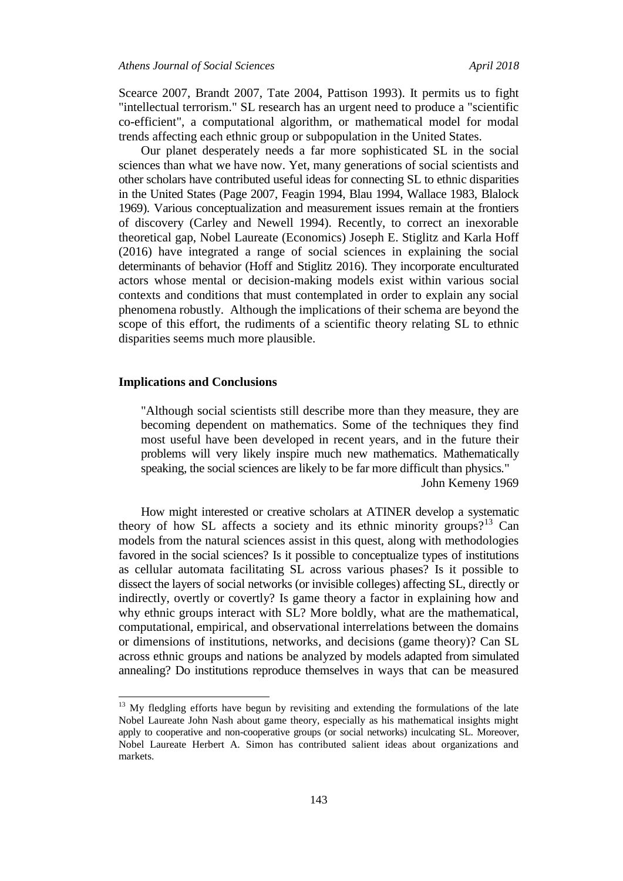Scearce 2007, Brandt 2007, Tate 2004, Pattison 1993). It permits us to fight "intellectual terrorism." SL research has an urgent need to produce a "scientific co-efficient", a computational algorithm, or mathematical model for modal trends affecting each ethnic group or subpopulation in the United States.

Our planet desperately needs a far more sophisticated SL in the social sciences than what we have now. Yet, many generations of social scientists and other scholars have contributed useful ideas for connecting SL to ethnic disparities in the United States (Page 2007, Feagin 1994, Blau 1994, Wallace 1983, Blalock 1969). Various conceptualization and measurement issues remain at the frontiers of discovery (Carley and Newell 1994). Recently, to correct an inexorable theoretical gap, Nobel Laureate (Economics) Joseph E. Stiglitz and Karla Hoff (2016) have integrated a range of social sciences in explaining the social determinants of behavior (Hoff and Stiglitz 2016). They incorporate enculturated actors whose mental or decision-making models exist within various social contexts and conditions that must contemplated in order to explain any social phenomena robustly. Although the implications of their schema are beyond the scope of this effort, the rudiments of a scientific theory relating SL to ethnic disparities seems much more plausible.

### **Implications and Conclusions**

 $\overline{a}$ 

"Although social scientists still describe more than they measure, they are becoming dependent on mathematics. Some of the techniques they find most useful have been developed in recent years, and in the future their problems will very likely inspire much new mathematics. Mathematically speaking, the social sciences are likely to be far more difficult than physics*.*" John Kemeny 1969

How might interested or creative scholars at ATINER develop a systematic theory of how SL affects a society and its ethnic minority groups?<sup>13</sup> Can models from the natural sciences assist in this quest, along with methodologies favored in the social sciences? Is it possible to conceptualize types of institutions as cellular automata facilitating SL across various phases? Is it possible to dissect the layers of social networks (or invisible colleges) affecting SL, directly or indirectly, overtly or covertly? Is game theory a factor in explaining how and why ethnic groups interact with SL? More boldly, what are the mathematical, computational, empirical, and observational interrelations between the domains or dimensions of institutions, networks, and decisions (game theory)? Can SL across ethnic groups and nations be analyzed by models adapted from simulated annealing? Do institutions reproduce themselves in ways that can be measured

 $13$  My fledgling efforts have begun by revisiting and extending the formulations of the late Nobel Laureate John Nash about game theory, especially as his mathematical insights might apply to cooperative and non-cooperative groups (or social networks) inculcating SL. Moreover, Nobel Laureate Herbert A. Simon has contributed salient ideas about organizations and markets.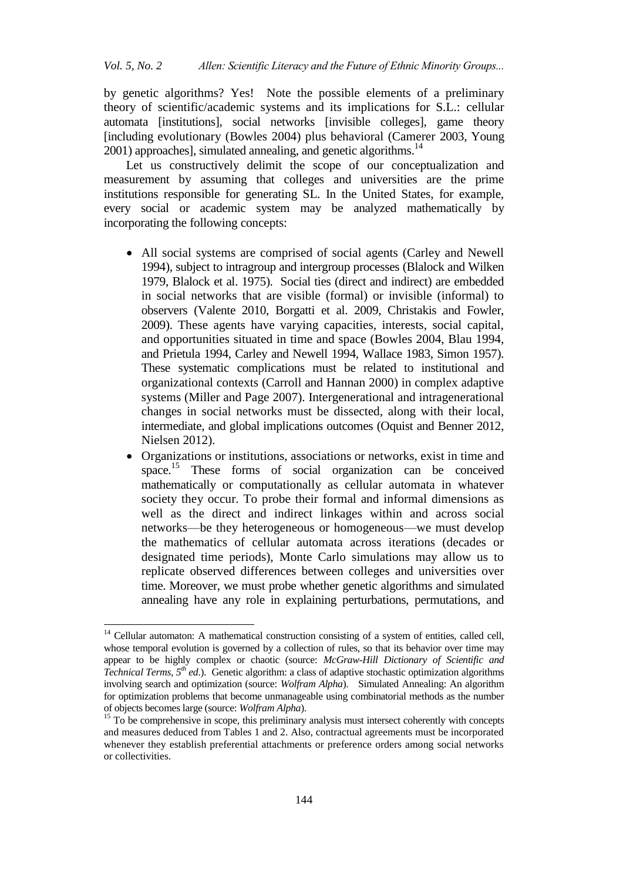by genetic algorithms? Yes! Note the possible elements of a preliminary theory of scientific/academic systems and its implications for S.L.: cellular automata [institutions], social networks [invisible colleges], game theory [including evolutionary (Bowles 2004) plus behavioral (Camerer 2003, Young  $2001$ ) approaches], simulated annealing, and genetic algorithms.<sup>14</sup>

Let us constructively delimit the scope of our conceptualization and measurement by assuming that colleges and universities are the prime institutions responsible for generating SL. In the United States, for example, every social or academic system may be analyzed mathematically by incorporating the following concepts:

- All social systems are comprised of social agents (Carley and Newell 1994), subject to intragroup and intergroup processes (Blalock and Wilken 1979, Blalock et al. 1975). Social ties (direct and indirect) are embedded in social networks that are visible (formal) or invisible (informal) to observers (Valente 2010, Borgatti et al. 2009, Christakis and Fowler, 2009). These agents have varying capacities, interests, social capital, and opportunities situated in time and space (Bowles 2004, Blau 1994, and Prietula 1994, Carley and Newell 1994, Wallace 1983, Simon 1957). These systematic complications must be related to institutional and organizational contexts (Carroll and Hannan 2000) in complex adaptive systems (Miller and Page 2007). Intergenerational and intragenerational changes in social networks must be dissected, along with their local, intermediate, and global implications outcomes (Oquist and Benner 2012, Nielsen 2012).
- Organizations or institutions, associations or networks, exist in time and space. <sup>15</sup> These forms of social organization can be conceived mathematically or computationally as cellular automata in whatever society they occur. To probe their formal and informal dimensions as well as the direct and indirect linkages within and across social networks—be they heterogeneous or homogeneous—we must develop the mathematics of cellular automata across iterations (decades or designated time periods), Monte Carlo simulations may allow us to replicate observed differences between colleges and universities over time. Moreover, we must probe whether genetic algorithms and simulated annealing have any role in explaining perturbations, permutations, and

<sup>&</sup>lt;sup>14</sup> Cellular automaton: A mathematical construction consisting of a system of entities, called cell, whose temporal evolution is governed by a collection of rules, so that its behavior over time may appear to be highly complex or chaotic (source: *McGraw-Hill Dictionary of Scientific and Technical Terms, 5th ed*.). Genetic algorithm: a class of adaptive stochastic optimization algorithms involving search and optimization (source: *Wolfram Alpha*). Simulated Annealing: An algorithm for optimization problems that become unmanageable using combinatorial methods as the number of objects becomes large (source: *Wolfram Alpha*).

<sup>&</sup>lt;sup>15</sup> To be comprehensive in scope, this preliminary analysis must intersect coherently with concepts and measures deduced from Tables 1 and 2. Also, contractual agreements must be incorporated whenever they establish preferential attachments or preference orders among social networks or collectivities.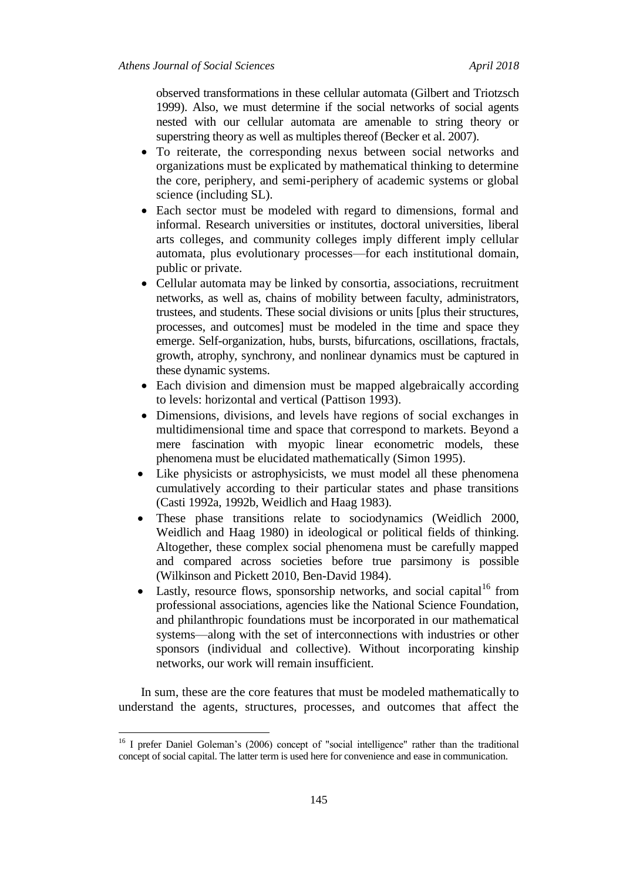observed transformations in these cellular automata (Gilbert and Triotzsch 1999). Also, we must determine if the social networks of social agents nested with our cellular automata are amenable to string theory or superstring theory as well as multiples thereof (Becker et al. 2007).

- To reiterate, the corresponding nexus between social networks and organizations must be explicated by mathematical thinking to determine the core, periphery, and semi-periphery of academic systems or global science (including SL).
- Each sector must be modeled with regard to dimensions, formal and informal. Research universities or institutes, doctoral universities, liberal arts colleges, and community colleges imply different imply cellular automata, plus evolutionary processes—for each institutional domain, public or private.
- Cellular automata may be linked by consortia, associations, recruitment networks, as well as, chains of mobility between faculty, administrators, trustees, and students. These social divisions or units [plus their structures, processes, and outcomes] must be modeled in the time and space they emerge. Self-organization, hubs, bursts, bifurcations, oscillations, fractals, growth, atrophy, synchrony, and nonlinear dynamics must be captured in these dynamic systems.
- Each division and dimension must be mapped algebraically according to levels: horizontal and vertical (Pattison 1993).
- Dimensions, divisions, and levels have regions of social exchanges in multidimensional time and space that correspond to markets. Beyond a mere fascination with myopic linear econometric models, these phenomena must be elucidated mathematically (Simon 1995).
- Like physicists or astrophysicists, we must model all these phenomena cumulatively according to their particular states and phase transitions (Casti 1992a, 1992b, Weidlich and Haag 1983).
- These phase transitions relate to sociodynamics (Weidlich 2000, Weidlich and Haag 1980) in ideological or political fields of thinking. Altogether, these complex social phenomena must be carefully mapped and compared across societies before true parsimony is possible (Wilkinson and Pickett 2010, Ben-David 1984).
- Lastly, resource flows, sponsorship networks, and social capital<sup>16</sup> from professional associations, agencies like the National Science Foundation, and philanthropic foundations must be incorporated in our mathematical systems—along with the set of interconnections with industries or other sponsors (individual and collective). Without incorporating kinship networks, our work will remain insufficient.

In sum, these are the core features that must be modeled mathematically to understand the agents, structures, processes, and outcomes that affect the

<sup>&</sup>lt;sup>16</sup> I prefer Daniel Goleman's (2006) concept of "social intelligence" rather than the traditional concept of social capital. The latter term is used here for convenience and ease in communication.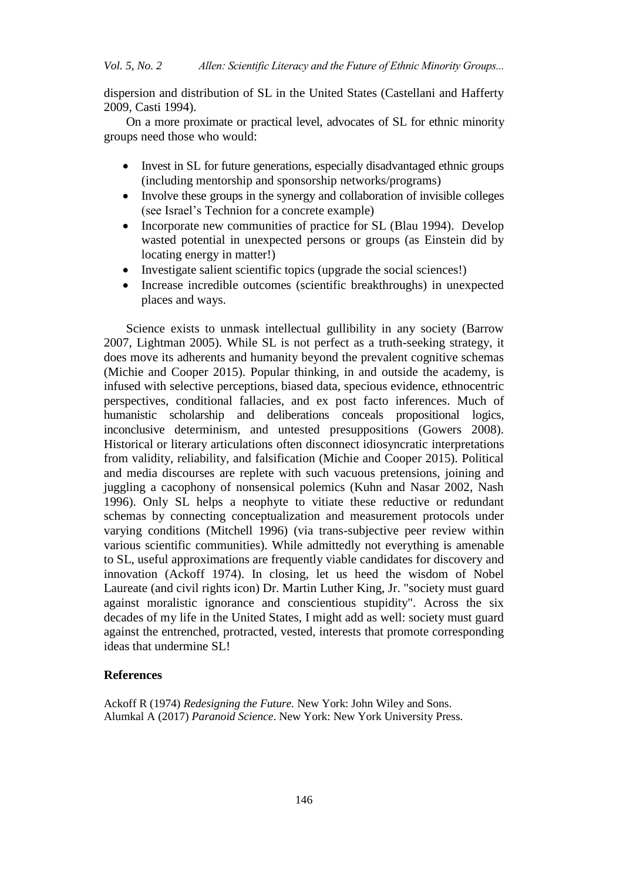dispersion and distribution of SL in the United States (Castellani and Hafferty 2009, Casti 1994).

On a more proximate or practical level, advocates of SL for ethnic minority groups need those who would:

- Invest in SL for future generations, especially disadvantaged ethnic groups (including mentorship and sponsorship networks/programs)
- Involve these groups in the synergy and collaboration of invisible colleges (see Israel's Technion for a concrete example)
- Incorporate new communities of practice for SL (Blau 1994). Develop wasted potential in unexpected persons or groups (as Einstein did by locating energy in matter!)
- Investigate salient scientific topics (upgrade the social sciences!)
- Increase incredible outcomes (scientific breakthroughs) in unexpected places and ways.

Science exists to unmask intellectual gullibility in any society (Barrow 2007, Lightman 2005). While SL is not perfect as a truth-seeking strategy, it does move its adherents and humanity beyond the prevalent cognitive schemas (Michie and Cooper 2015). Popular thinking, in and outside the academy, is infused with selective perceptions, biased data, specious evidence, ethnocentric perspectives, conditional fallacies, and ex post facto inferences. Much of humanistic scholarship and deliberations conceals propositional logics, inconclusive determinism, and untested presuppositions (Gowers 2008). Historical or literary articulations often disconnect idiosyncratic interpretations from validity, reliability, and falsification (Michie and Cooper 2015). Political and media discourses are replete with such vacuous pretensions, joining and juggling a cacophony of nonsensical polemics (Kuhn and Nasar 2002, Nash 1996). Only SL helps a neophyte to vitiate these reductive or redundant schemas by connecting conceptualization and measurement protocols under varying conditions (Mitchell 1996) (via trans-subjective peer review within various scientific communities). While admittedly not everything is amenable to SL, useful approximations are frequently viable candidates for discovery and innovation (Ackoff 1974). In closing, let us heed the wisdom of Nobel Laureate (and civil rights icon) Dr. Martin Luther King, Jr. "society must guard against moralistic ignorance and conscientious stupidity". Across the six decades of my life in the United States, I might add as well: society must guard against the entrenched, protracted, vested, interests that promote corresponding ideas that undermine SL!

#### **References**

Ackoff R (1974) *Redesigning the Future.* New York: John Wiley and Sons. Alumkal A (2017) *Paranoid Science*. New York: New York University Press.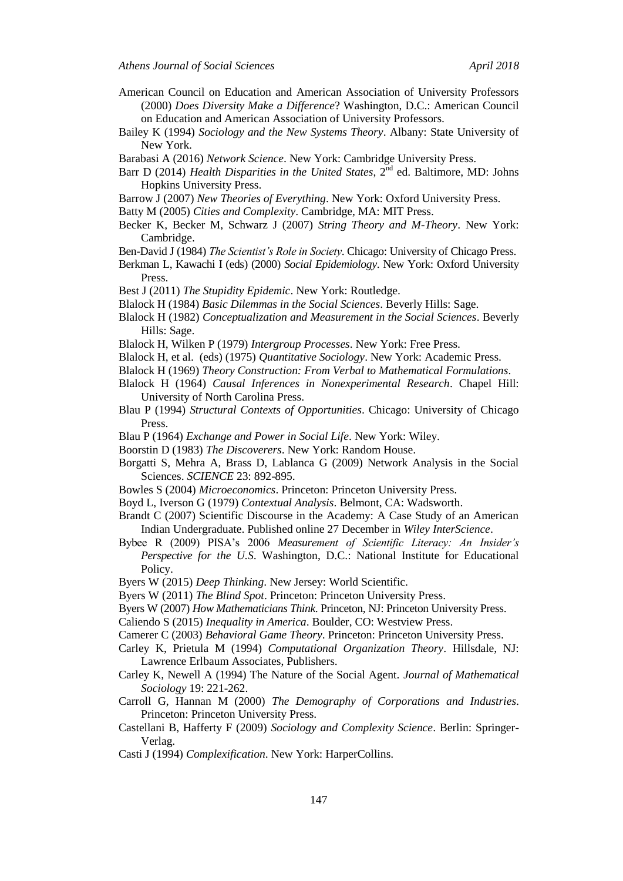- American Council on Education and American Association of University Professors (2000) *Does Diversity Make a Difference*? Washington, D.C.: American Council on Education and American Association of University Professors.
- Bailey K (1994) *Sociology and the New Systems Theory*. Albany: State University of New York.
- Barabasi A (2016) *Network Science*. New York: Cambridge University Press.
- Barr D (2014) *Health Disparities in the United States*, 2<sup>nd</sup> ed. Baltimore, MD: Johns Hopkins University Press.
- Barrow J (2007) *New Theories of Everything*. New York: Oxford University Press.

Batty M (2005) *Cities and Complexity*. Cambridge, MA: MIT Press.

- Becker K, Becker M, Schwarz J (2007) *String Theory and M-Theory*. New York: Cambridge.
- Ben-David J (1984) *The Scientist's Role in Society*. Chicago: University of Chicago Press.
- Berkman L, Kawachi I (eds) (2000) *Social Epidemiology*. New York: Oxford University Press.
- Best J (2011) *The Stupidity Epidemic*. New York: Routledge.
- Blalock H (1984) *Basic Dilemmas in the Social Sciences*. Beverly Hills: Sage.
- Blalock H (1982) *Conceptualization and Measurement in the Social Sciences*. Beverly Hills: Sage.
- Blalock H, Wilken P (1979) *Intergroup Processes*. New York: Free Press.
- Blalock H, et al. (eds) (1975) *Quantitative Sociology*. New York: Academic Press.
- Blalock H (1969) *Theory Construction: From Verbal to Mathematical Formulations*.
- Blalock H (1964) *Causal Inferences in Nonexperimental Research*. Chapel Hill: University of North Carolina Press.
- Blau P (1994) *Structural Contexts of Opportunities*. Chicago: University of Chicago Press.
- Blau P (1964) *Exchange and Power in Social Life*. New York: Wiley.
- Boorstin D (1983) *The Discoverers*. New York: Random House.
- Borgatti S, Mehra A, Brass D, Lablanca G (2009) Network Analysis in the Social Sciences. *SCIENCE* 23: 892-895.
- Bowles S (2004) *Microeconomics*. Princeton: Princeton University Press.
- Boyd L, Iverson G (1979) *Contextual Analysis*. Belmont, CA: Wadsworth.
- Brandt C (2007) Scientific Discourse in the Academy: A Case Study of an American Indian Undergraduate. Published online 27 December in *Wiley InterScience*.
- Bybee R (2009) PISA's 2006 *Measurement of Scientific Literacy: An Insider's Perspective for the U.S*. Washington, D.C.: National Institute for Educational Policy.
- Byers W (2015) *Deep Thinking*. New Jersey: World Scientific.
- Byers W (2011) *The Blind Spot*. Princeton: Princeton University Press.
- Byers W (2007) *How Mathematicians Think*. Princeton, NJ: Princeton University Press.
- Caliendo S (2015) *Inequality in America*. Boulder, CO: Westview Press.
- Camerer C (2003) *Behavioral Game Theory*. Princeton: Princeton University Press.
- Carley K, Prietula M (1994) *Computational Organization Theory*. Hillsdale, NJ: Lawrence Erlbaum Associates, Publishers.
- Carley K, Newell A (1994) The Nature of the Social Agent. *Journal of Mathematical Sociology* 19: 221-262.
- Carroll G, Hannan M (2000) *The Demography of Corporations and Industries*. Princeton: Princeton University Press.
- Castellani B, Hafferty F (2009) *Sociology and Complexity Science*. Berlin: Springer-Verlag.
- Casti J (1994) *Complexification*. New York: HarperCollins.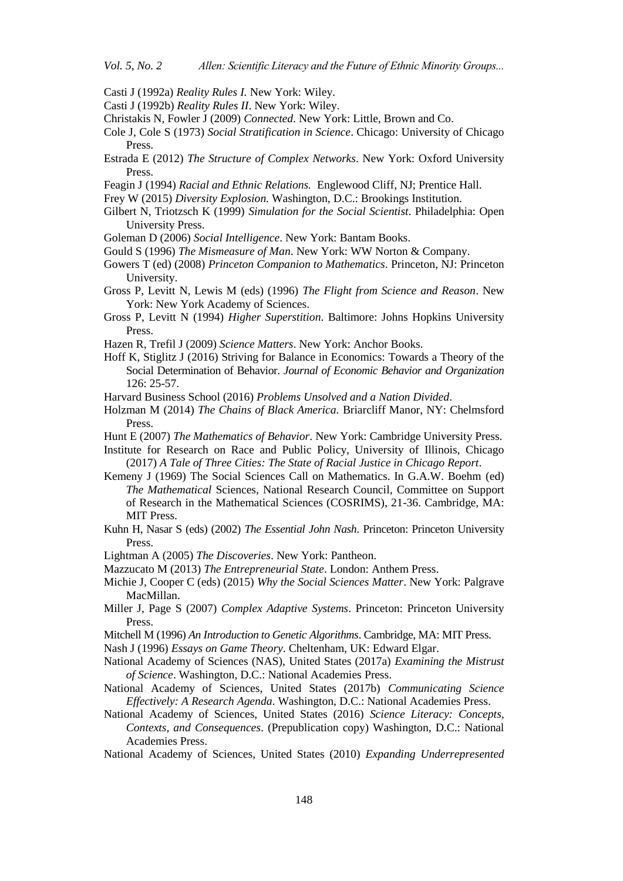Casti J (1992a) *Reality Rules I.* New York: Wiley.

- Casti J (1992b) *Reality Rules II*. New York: Wiley.
- Christakis N, Fowler J (2009) *Connected*. New York: Little, Brown and Co.
- Cole J, Cole S (1973) *Social Stratification in Science*. Chicago: University of Chicago Press.
- Estrada E (2012) *The Structure of Complex Networks*. New York: Oxford University Press.
- Feagin J (1994) *Racial and Ethnic Relations.* Englewood Cliff, NJ; Prentice Hall.
- Frey W (2015) *Diversity Explosion.* Washington, D.C.: Brookings Institution.
- Gilbert N, Triotzsch K (1999) *Simulation for the Social Scientist*. Philadelphia: Open University Press.
- Goleman D (2006) *Social Intelligence*. New York: Bantam Books.
- Gould S (1996) *The Mismeasure of Man*. New York: WW Norton & Company.
- Gowers T (ed) (2008) *Princeton Companion to Mathematics*. Princeton, NJ: Princeton University.
- Gross P, Levitt N, Lewis M (eds) (1996) *The Flight from Science and Reason*. New York: New York Academy of Sciences.
- Gross P, Levitt N (1994) *Higher Superstition*. Baltimore: Johns Hopkins University Press.
- Hazen R, Trefil J (2009) *Science Matters*. New York: Anchor Books.
- Hoff K, Stiglitz J (2016) Striving for Balance in Economics: Towards a Theory of the Social Determination of Behavior. *Journal of Economic Behavior and Organization* 126: 25-57.
- Harvard Business School (2016) *Problems Unsolved and a Nation Divided*.
- Holzman M (2014) *The Chains of Black America.* Briarcliff Manor, NY: Chelmsford Press.
- Hunt E (2007) *The Mathematics of Behavior*. New York: Cambridge University Press.
- Institute for Research on Race and Public Policy, University of Illinois, Chicago (2017) *A Tale of Three Cities: The State of Racial Justice in Chicago Report*.
- Kemeny J (1969) The Social Sciences Call on Mathematics. In G.A.W. Boehm (ed) *The Mathematical* Sciences, National Research Council, Committee on Support of Research in the Mathematical Sciences (COSRIMS), 21-36. Cambridge, MA: MIT Press.
- Kuhn H, Nasar S (eds) (2002) *The Essential John Nash*. Princeton: Princeton University Press.
- Lightman A (2005) *The Discoveries*. New York: Pantheon.
- Mazzucato M (2013) *The Entrepreneurial State*. London: Anthem Press.
- Michie J, Cooper C (eds) (2015) *Why the Social Sciences Matter*. New York: Palgrave MacMillan.
- Miller J, Page S (2007) *Complex Adaptive Systems*. Princeton: Princeton University Press.
- Mitchell M (1996) *An Introduction to Genetic Algorithms*. Cambridge, MA: MIT Press.
- Nash J (1996) *Essays on Game Theory*. Cheltenham, UK: Edward Elgar.
- National Academy of Sciences (NAS), United States (2017a) *Examining the Mistrust of Science*. Washington, D.C.: National Academies Press.
- National Academy of Sciences, United States (2017b) *Communicating Science Effectively: A Research Agenda*. Washington, D.C.: National Academies Press.
- National Academy of Sciences, United States (2016) *Science Literacy: Concepts, Contexts, and Consequences*. (Prepublication copy) Washington, D.C.: National Academies Press.
- National Academy of Sciences, United States (2010) *Expanding Underrepresented*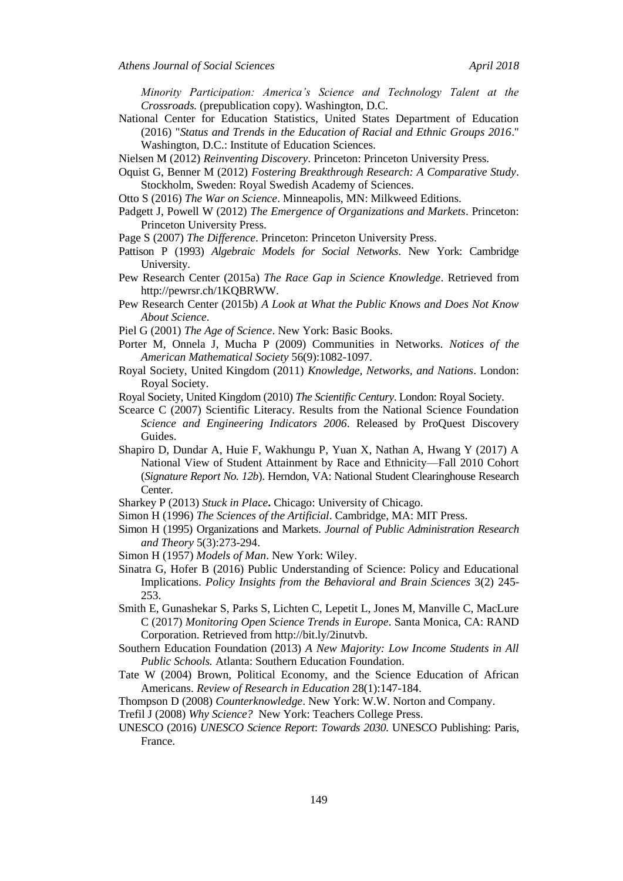*Minority Participation: America's Science and Technology Talent at the Crossroads.* (prepublication copy). Washington, D.C.

National Center for Education Statistics, United States Department of Education (2016) "*Status and Trends in the Education of Racial and Ethnic Groups 2016*." Washington, D.C.: Institute of Education Sciences.

Nielsen M (2012) *Reinventing Discovery*. Princeton: Princeton University Press.

Oquist G, Benner M (2012) *Fostering Breakthrough Research: A Comparative Study*. Stockholm, Sweden: Royal Swedish Academy of Sciences.

Otto S (2016) *The War on Science*. Minneapolis, MN: Milkweed Editions.

- Padgett J, Powell W (2012) *The Emergence of Organizations and Markets*. Princeton: Princeton University Press.
- Page S (2007) *The Difference*. Princeton: Princeton University Press.
- Pattison P (1993) *Algebraic Models for Social Networks*. New York: Cambridge University.
- Pew Research Center (2015a) *The Race Gap in Science Knowledge*. Retrieved from http://pewrsr.ch/1KQBRWW.
- Pew Research Center (2015b) *A Look at What the Public Knows and Does Not Know About Science*.
- Piel G (2001) *The Age of Science*. New York: Basic Books.
- Porter M, Onnela J, Mucha P (2009) Communities in Networks. *Notices of the American Mathematical Society* 56(9):1082-1097.
- Royal Society, United Kingdom (2011) *Knowledge, Networks, and Nations*. London: Royal Society.
- Royal Society, United Kingdom (2010) *The Scientific Century*. London: Royal Society.
- Scearce C (2007) Scientific Literacy. Results from the National Science Foundation *Science and Engineering Indicators 2006*. Released by ProQuest Discovery Guides.
- Shapiro D, Dundar A, Huie F, Wakhungu P, Yuan X, Nathan A, Hwang Y (2017) A National View of Student Attainment by Race and Ethnicity—Fall 2010 Cohort (*Signature Report No. 12b*). Herndon, VA: National Student Clearinghouse Research Center.
- Sharkey P (2013) *Stuck in Place***.** Chicago: University of Chicago.
- Simon H (1996) *The Sciences of the Artificial*. Cambridge, MA: MIT Press.
- Simon H (1995) Organizations and Markets. *Journal of Public Administration Research and Theory* 5(3):273-294.
- Simon H (1957) *Models of Man*. New York: Wiley.
- Sinatra G, Hofer B (2016) Public Understanding of Science: Policy and Educational Implications. *Policy Insights from the Behavioral and Brain Sciences* 3(2) 245- 253.
- Smith E, Gunashekar S, Parks S, Lichten C, Lepetit L, Jones M, Manville C, MacLure C (2017) *Monitoring Open Science Trends in Europe*. Santa Monica, CA: RAND Corporation. Retrieved from http://bit.ly/2inutvb.
- Southern Education Foundation (2013) *A New Majority: Low Income Students in All Public Schools.* Atlanta: Southern Education Foundation.
- Tate W (2004) Brown, Political Economy, and the Science Education of African Americans. *Review of Research in Education* 28(1):147-184.
- Thompson D (2008) *Counterknowledge*. New York: W.W. Norton and Company.
- Trefil J (2008) *Why Science?* New York: Teachers College Press.
- UNESCO (2016) *UNESCO Science Report*: *Towards 2030*. UNESCO Publishing: Paris, France.